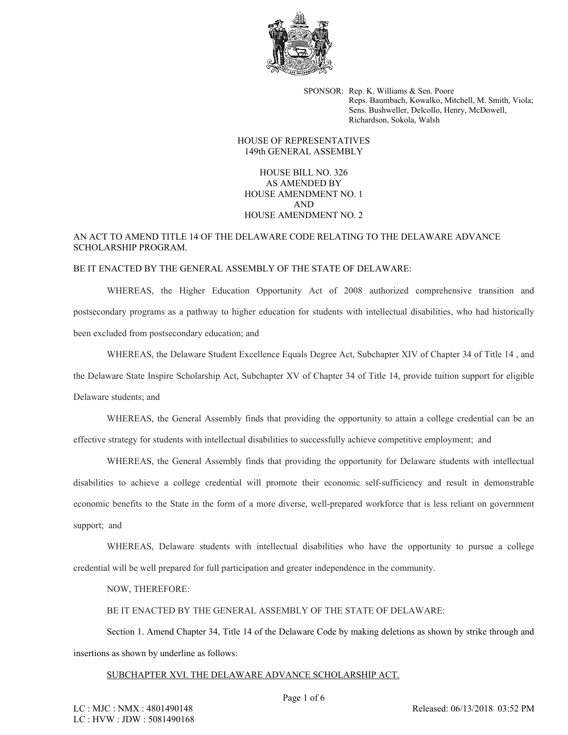

SPONSOR: Rep. K. Williams & Sen. Poore Reps. Baumbach, Kowalko, Mitchell, M. Smith, Viola; Sens. Bushweller, Delcollo, Henry, McDowell, Richardson, Sokola, Walsh

## HOUSE OF REPRESENTATIVES 149th GENERAL ASSEMBLY

HOUSE BILL NO. 326 AS AMENDED BY HOUSE AMENDMENT NO. 1 AND HOUSE AMENDMENT NO. 2

# AN ACT TO AMEND TITLE 14 OF THE DELAWARE CODE RELATING TO THE DELAWARE ADVANCE SCHOLARSHIP PROGRAM.

#### BE IT ENACTED BY THE GENERAL ASSEMBLY OF THE STATE OF DELAWARE:

WHEREAS, the Higher Education Opportunity Act of 2008 authorized comprehensive transition and postsecondary programs as a pathway to higher education for students with intellectual disabilities, who had historically been excluded from postsecondary education; and

WHEREAS, the Delaware Student Excellence Equals Degree Act, Subchapter XIV of Chapter 34 of Title 14, and the Delaware State Inspire Scholarship Act, Subchapter XV of Chapter 34 of Title 14, provide tuition support for eligible Delaware students; and

WHEREAS, the General Assembly finds that providing the opportunity to attain a college credential can be an effective strategy for students with intellectual disabilities to successfully achieve competitive employment; and

WHEREAS, the General Assembly finds that providing the opportunity for Delaware students with intellectual disabilities to achieve a college credential will promote their economic self-sufficiency and result in demonstrable economic benefits to the State in the form of a more diverse, well-prepared workforce that is less reliant on government support; and

WHEREAS, Delaware students with intellectual disabilities who have the opportunity to pursue a college credential will be well prepared for full participation and greater independence in the community.

NOW, THEREFORE:

BE IT ENACTED BY THE GENERAL ASSEMBLY OF THE STATE OF DELAWARE:

Section 1. Amend Chapter 34, Title 14 of the Delaware Code by making deletions as shown by strike through and insertions as shown by underline as follows:

#### SUBCHAPTER XVI. THE DELAWARE ADVANCE SCHOLARSHIP ACT.

Released: 06/13/2018 03:52 PM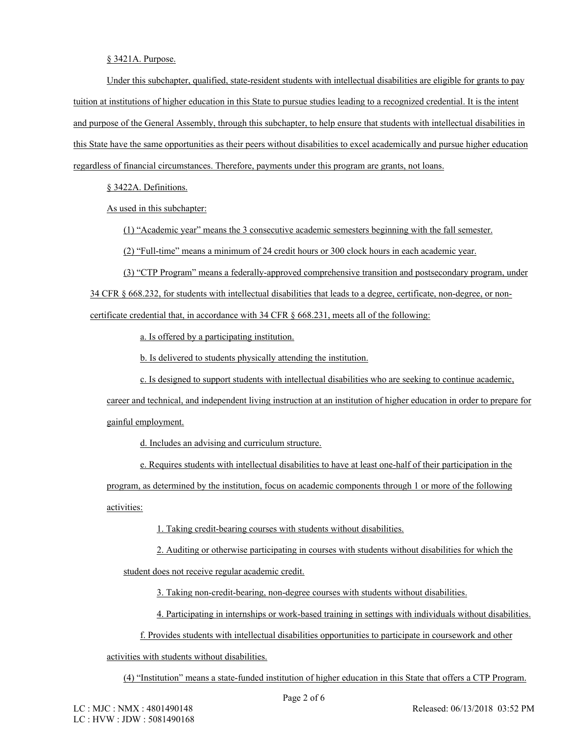## § 3421A. Purpose.

Under this subchapter, qualified, state-resident students with intellectual disabilities are eligible for grants to pay tuition at institutions of higher education in this State to pursue studies leading to a recognized credential. It is the intent and purpose of the General Assembly, through this subchapter, to help ensure that students with intellectual disabilities in this State have the same opportunities as their peers without disabilities to excel academically and pursue higher education regardless of financial circumstances. Therefore, payments under this program are grants, not loans.

§ 3422A. Definitions.

As used in this subchapter:

(1) "Academic year" means the 3 consecutive academic semesters beginning with the fall semester.

(2) "Full-time" means a minimum of 24 credit hours or 300 clock hours in each academic year.

(3) "CTP Program" means a federally-approved comprehensive transition and postsecondary program, under 34 CFR § 668.232, for students with intellectual disabilities that leads to a degree, certificate, non-degree, or noncertificate credential that, in accordance with 34 CFR § 668.231, meets all of the following:

a. Is offered by a participating institution.

b. Is delivered to students physically attending the institution.

c. Is designed to support students with intellectual disabilities who are seeking to continue academic,

career and technical, and independent living instruction at an institution of higher education in order to prepare for gainful employment.

d. Includes an advising and curriculum structure.

e. Requires students with intellectual disabilities to have at least one-half of their participation in the

program, as determined by the institution, focus on academic components through 1 or more of the following activities:

1. Taking credit-bearing courses with students without disabilities.

2. Auditing or otherwise participating in courses with students without disabilities for which the student does not receive regular academic credit.

3. Taking non-credit-bearing, non-degree courses with students without disabilities.

4. Participating in internships or work-based training in settings with individuals without disabilities.

f. Provides students with intellectual disabilities opportunities to participate in coursework and other

activities with students without disabilities.

(4) "Institution" means a state-funded institution of higher education in this State that offers a CTP Program.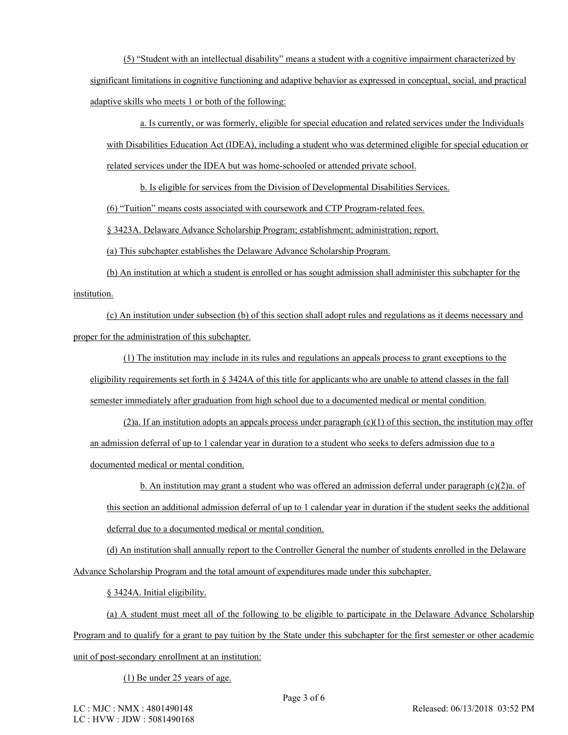(5) "Student with an intellectual disability" means a student with a cognitive impairment characterized by significant limitations in cognitive functioning and adaptive behavior as expressed in conceptual, social, and practical adaptive skills who meets 1 or both of the following:

a. Is currently, or was formerly, eligible for special education and related services under the Individuals with Disabilities Education Act (IDEA), including a student who was determined eligible for special education or related services under the IDEA but was home-schooled or attended private school.

b. Is eligible for services from the Division of Developmental Disabilities Services.

(6) "Tuition" means costs associated with coursework and CTP Program-related fees.

§ 3423A. Delaware Advance Scholarship Program; establishment; administration; report.

(a) This subchapter establishes the Delaware Advance Scholarship Program.

(b) An institution at which a student is enrolled or has sought admission shall administer this subchapter for the institution.

(c) An institution under subsection (b) of this section shall adopt rules and regulations as it deems necessary and proper for the administration of this subchapter.

(1) The institution may include in its rules and regulations an appeals process to grant exceptions to the eligibility requirements set forth in § 3424A of this title for applicants who are unable to attend classes in the fall semester immediately after graduation from high school due to a documented medical or mental condition.

 $(2)a$ . If an institution adopts an appeals process under paragraph  $(c)(1)$  of this section, the institution may offer an admission deferral of up to 1 calendar year in duration to a student who seeks to defers admission due to a documented medical or mental condition.

b. An institution may grant a student who was offered an admission deferral under paragraph  $(c)(2)a$ . of this section an additional admission deferral of up to 1 calendar year in duration if the student seeks the additional deferral due to a documented medical or mental condition.

(d) An institution shall annually report to the Controller General the number of students enrolled in the Delaware Advance Scholarship Program and the total amount of expenditures made under this subchapter.

§ 3424A. Initial eligibility.

(a) A student must meet all of the following to be eligible to participate in the Delaware Advance Scholarship Program and to qualify for a grant to pay tuition by the State under this subchapter for the first semester or other academic unit of post-secondary enrollment at an institution:

(1) Be under 25 years of age.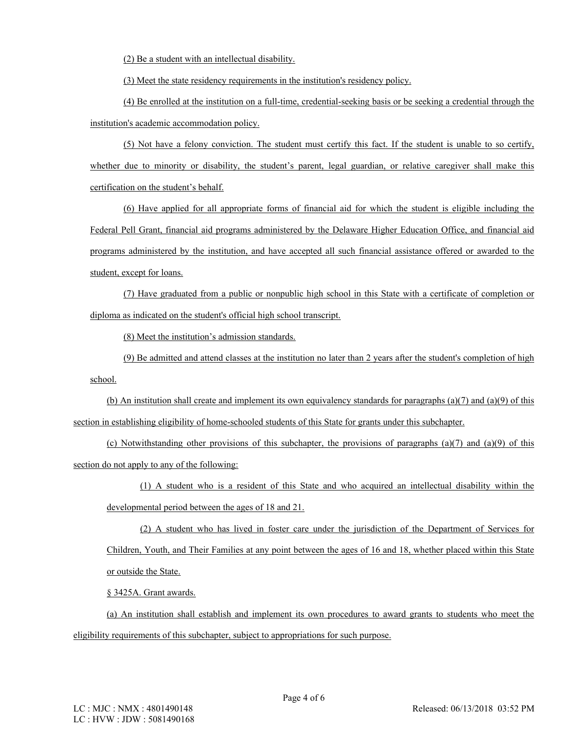(2) Be a student with an intellectual disability.

(3) Meet the state residency requirements in the institution's residency policy.

(4) Be enrolled at the institution on a full-time, credential-seeking basis or be seeking a credential through the institution's academic accommodation policy.

(5) Not have a felony conviction. The student must certify this fact. If the student is unable to so certify, whether due to minority or disability, the student's parent, legal guardian, or relative caregiver shall make this certification on the student's behalf.

(6) Have applied for all appropriate forms of financial aid for which the student is eligible including the Federal Pell Grant, financial aid programs administered by the Delaware Higher Education Office, and financial aid programs administered by the institution, and have accepted all such financial assistance offered or awarded to the student, except for loans.

(7) Have graduated from a public or nonpublic high school in this State with a certificate of completion or diploma as indicated on the student's official high school transcript.

(8) Meet the institution's admission standards.

(9) Be admitted and attend classes at the institution no later than 2 years after the student's completion of high school.

(b) An institution shall create and implement its own equivalency standards for paragraphs  $(a)(7)$  and  $(a)(9)$  of this section in establishing eligibility of home-schooled students of this State for grants under this subchapter.

(c) Notwithstanding other provisions of this subchapter, the provisions of paragraphs (a)(7) and (a)(9) of this section do not apply to any of the following:

(1) A student who is a resident of this State and who acquired an intellectual disability within the developmental period between the ages of 18 and 21.

(2) A student who has lived in foster care under the jurisdiction of the Department of Services for Children, Youth, and Their Families at any point between the ages of 16 and 18, whether placed within this State or outside the State.

§ 3425A. Grant awards.

(a) An institution shall establish and implement its own procedures to award grants to students who meet the eligibility requirements of this subchapter, subject to appropriations for such purpose.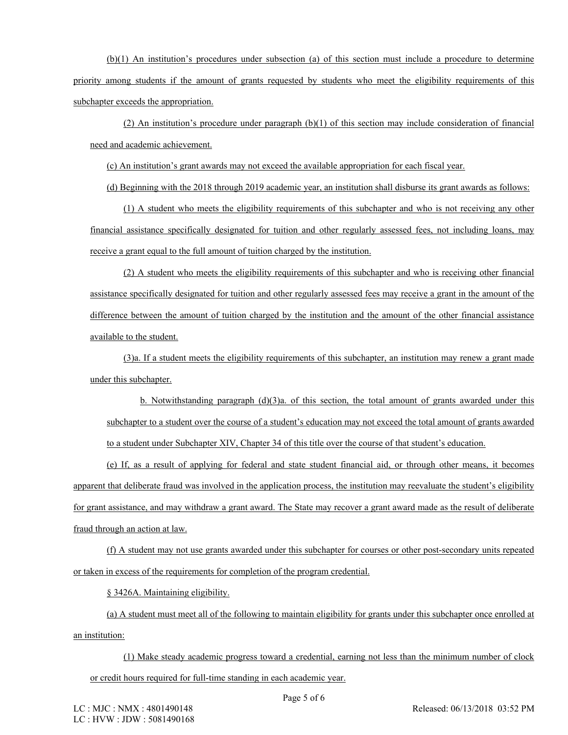(b)(1) An institution's procedures under subsection (a) of this section must include a procedure to determine priority among students if the amount of grants requested by students who meet the eligibility requirements of this subchapter exceeds the appropriation.

(2) An institution's procedure under paragraph (b)(1) of this section may include consideration of financial need and academic achievement.

(c) An institution's grant awards may not exceed the available appropriation for each fiscal year.

(d) Beginning with the 2018 through 2019 academic year, an institution shall disburse its grant awards as follows:

(1) A student who meets the eligibility requirements of this subchapter and who is not receiving any other financial assistance specifically designated for tuition and other regularly assessed fees, not including loans, may receive a grant equal to the full amount of tuition charged by the institution.

(2) A student who meets the eligibility requirements of this subchapter and who is receiving other financial assistance specifically designated for tuition and other regularly assessed fees may receive a grant in the amount of the difference between the amount of tuition charged by the institution and the amount of the other financial assistance available to the student.

(3)a. If a student meets the eligibility requirements of this subchapter, an institution may renew a grant made under this subchapter.

b. Notwithstanding paragraph  $(d)(3)a$ , of this section, the total amount of grants awarded under this subchapter to a student over the course of a student's education may not exceed the total amount of grants awarded to a student under Subchapter XIV, Chapter 34 of this title over the course of that student's education.

(e) If, as a result of applying for federal and state student financial aid, or through other means, it becomes apparent that deliberate fraud was involved in the application process, the institution may reevaluate the student's eligibility for grant assistance, and may withdraw a grant award. The State may recover a grant award made as the result of deliberate fraud through an action at law.

(f) A student may not use grants awarded under this subchapter for courses or other post-secondary units repeated or taken in excess of the requirements for completion of the program credential.

§ 3426A. Maintaining eligibility.

(a) A student must meet all of the following to maintain eligibility for grants under this subchapter once enrolled at an institution:

(1) Make steady academic progress toward a credential, earning not less than the minimum number of clock or credit hours required for full-time standing in each academic year.